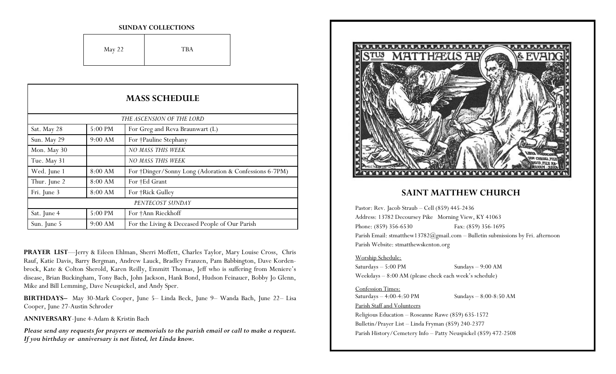#### **SUNDAY COLLECTIONS**

| May 22 | <b>TBA</b> |
|--------|------------|
|--------|------------|

| <b>MASS SCHEDULE</b>      |           |                                                        |
|---------------------------|-----------|--------------------------------------------------------|
| THE ASCENSION OF THE LORD |           |                                                        |
| Sat. May 28               | $5:00$ PM | For Greg and Reva Braunwart (L)                        |
| Sun. May 29               | 9:00 AM   | For †Pauline Stephany                                  |
| Mon. May 30               |           | NO MASS THIS WEEK                                      |
| Tue. May 31               |           | NO MASS THIS WEEK                                      |
| Wed. June 1               | 8:00 AM   | For †Dinger/Sonny Long (Adoration & Confessions 6-7PM) |
| Thur. June 2              | 8:00 AM   | For †Ed Grant                                          |
| Fri. June 3               | 8:00 AM   | For †Rick Gulley                                       |
| PENTECOST SUNDAY          |           |                                                        |
| Sat. June 4               | 5:00 PM   | For †Ann Rieckhoff                                     |
| Sun. June 5               | 9:00 AM   | For the Living & Deceased People of Our Parish         |

**PRAYER LIST**—Jerry & Eileen Ehlman, Sherri Moffett, Charles Taylor, Mary Louise Cross, Chris Rauf, Katie Davis, Barry Bergman, Andrew Lauck, Bradley Franzen, Pam Babbington, Dave Kordenbrock, Kate & Colton Sherold, Karen Reilly, Emmitt Thomas, Jeff who is suffering from Meniere's disease, Brian Buckingham, Tony Bach, John Jackson, Hank Bond, Hudson Feinauer, Bobby Jo Glenn, Mike and Bill Lemming, Dave Neuspickel, and Andy Sper.

**BIRTHDAYS–** May 30-Mark Cooper, June 5– Linda Beck, June 9– Wanda Bach, June 22– Lisa Cooper, June 27-Austin Schroder

**ANNIVERSARY**-June 4-Adam & Kristin Bach

*Please send any requests for prayers or memorials to the parish email or call to make a request. If you birthday or anniversary is not listed, let Linda know.*



### **SAINT MATTHEW CHURCH**

Pastor: Rev. Jacob Straub – Cell (859) 445-2436 Address: 13782 Decoursey Pike Morning View, KY 41063 Phone: (859) 356-6530 Fax: (859) 356-1695 Parish Email: stmatthew13782@gmail.com – Bulletin submissions by Fri. afternoon Parish Website: stmatthewskenton.org

#### Worship Schedule:

Saturdays – 5:00 PM Sundays – 9:00 AM Weekdays – 8:00 AM (please check each week's schedule)

#### Confession Times:

Saturdays – 4:00-4:50 PM Sundays – 8:00-8:50 AM Parish Staff and Volunteers Religious Education – Roseanne Rawe (859) 635-1572 Bulletin/Prayer List – Linda Fryman (859) 240-2377 Parish History/Cemetery Info – Patty Neuspickel (859) 472-2508